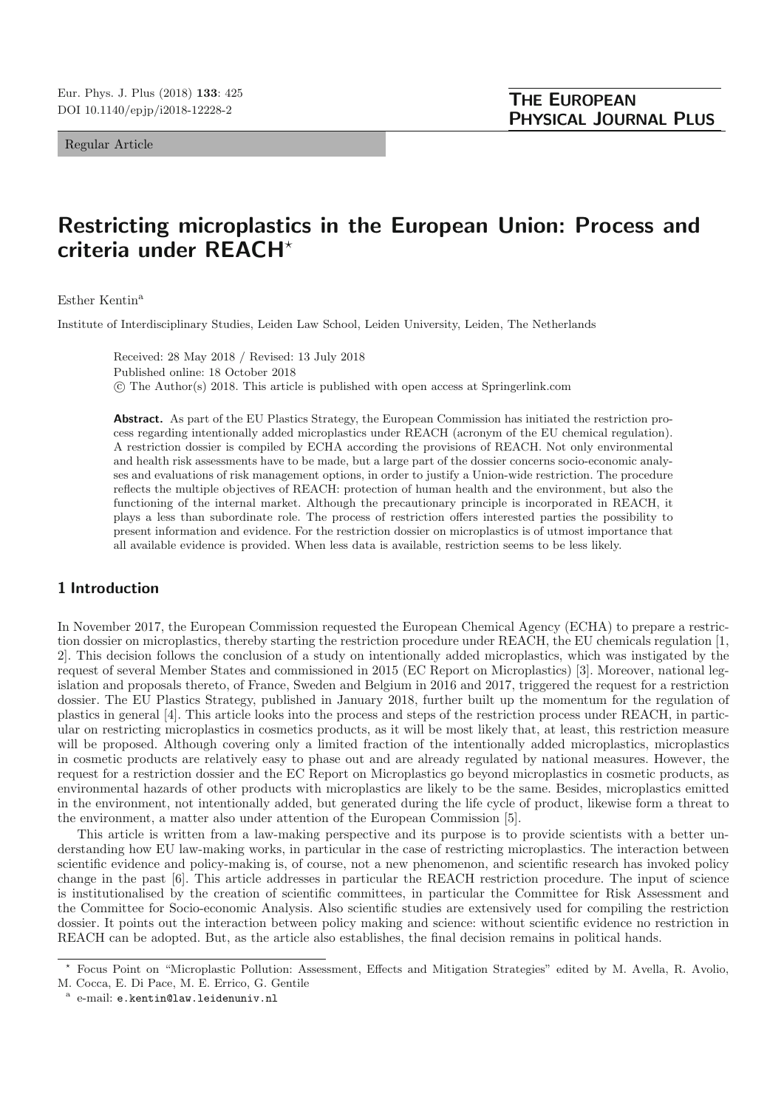Regular Article

# **Restricting microplastics in the European Union: Process and criteria under REACH**-

Esther Kentin<sup>a</sup>

Institute of Interdisciplinary Studies, Leiden Law School, Leiden University, Leiden, The Netherlands

Received: 28 May 2018 / Revised: 13 July 2018 Published online: 18 October 2018 -c The Author(s) 2018. This article is published with open access at Springerlink.com

**Abstract.** As part of the EU Plastics Strategy, the European Commission has initiated the restriction process regarding intentionally added microplastics under REACH (acronym of the EU chemical regulation). A restriction dossier is compiled by ECHA according the provisions of REACH. Not only environmental and health risk assessments have to be made, but a large part of the dossier concerns socio-economic analyses and evaluations of risk management options, in order to justify a Union-wide restriction. The procedure reflects the multiple objectives of REACH: protection of human health and the environment, but also the functioning of the internal market. Although the precautionary principle is incorporated in REACH, it plays a less than subordinate role. The process of restriction offers interested parties the possibility to present information and evidence. For the restriction dossier on microplastics is of utmost importance that all available evidence is provided. When less data is available, restriction seems to be less likely.

# **1 Introduction**

In November 2017, the European Commission requested the European Chemical Agency (ECHA) to prepare a restriction dossier on microplastics, thereby starting the restriction procedure under REACH, the EU chemicals regulation [1, 2]. This decision follows the conclusion of a study on intentionally added microplastics, which was instigated by the request of several Member States and commissioned in 2015 (EC Report on Microplastics) [3]. Moreover, national legislation and proposals thereto, of France, Sweden and Belgium in 2016 and 2017, triggered the request for a restriction dossier. The EU Plastics Strategy, published in January 2018, further built up the momentum for the regulation of plastics in general [4]. This article looks into the process and steps of the restriction process under REACH, in particular on restricting microplastics in cosmetics products, as it will be most likely that, at least, this restriction measure will be proposed. Although covering only a limited fraction of the intentionally added microplastics, microplastics in cosmetic products are relatively easy to phase out and are already regulated by national measures. However, the request for a restriction dossier and the EC Report on Microplastics go beyond microplastics in cosmetic products, as environmental hazards of other products with microplastics are likely to be the same. Besides, microplastics emitted in the environment, not intentionally added, but generated during the life cycle of product, likewise form a threat to the environment, a matter also under attention of the European Commission [5].

This article is written from a law-making perspective and its purpose is to provide scientists with a better understanding how EU law-making works, in particular in the case of restricting microplastics. The interaction between scientific evidence and policy-making is, of course, not a new phenomenon, and scientific research has invoked policy change in the past [6]. This article addresses in particular the REACH restriction procedure. The input of science is institutionalised by the creation of scientific committees, in particular the Committee for Risk Assessment and the Committee for Socio-economic Analysis. Also scientific studies are extensively used for compiling the restriction dossier. It points out the interaction between policy making and science: without scientific evidence no restriction in REACH can be adopted. But, as the article also establishes, the final decision remains in political hands.

 $\star$  Focus Point on "Microplastic Pollution: Assessment, Effects and Mitigation Strategies" edited by M. Avella, R. Avolio, M. Cocca, E. Di Pace, M. E. Errico, G. Gentile

e-mail: e.kentin@law.leidenuniv.nl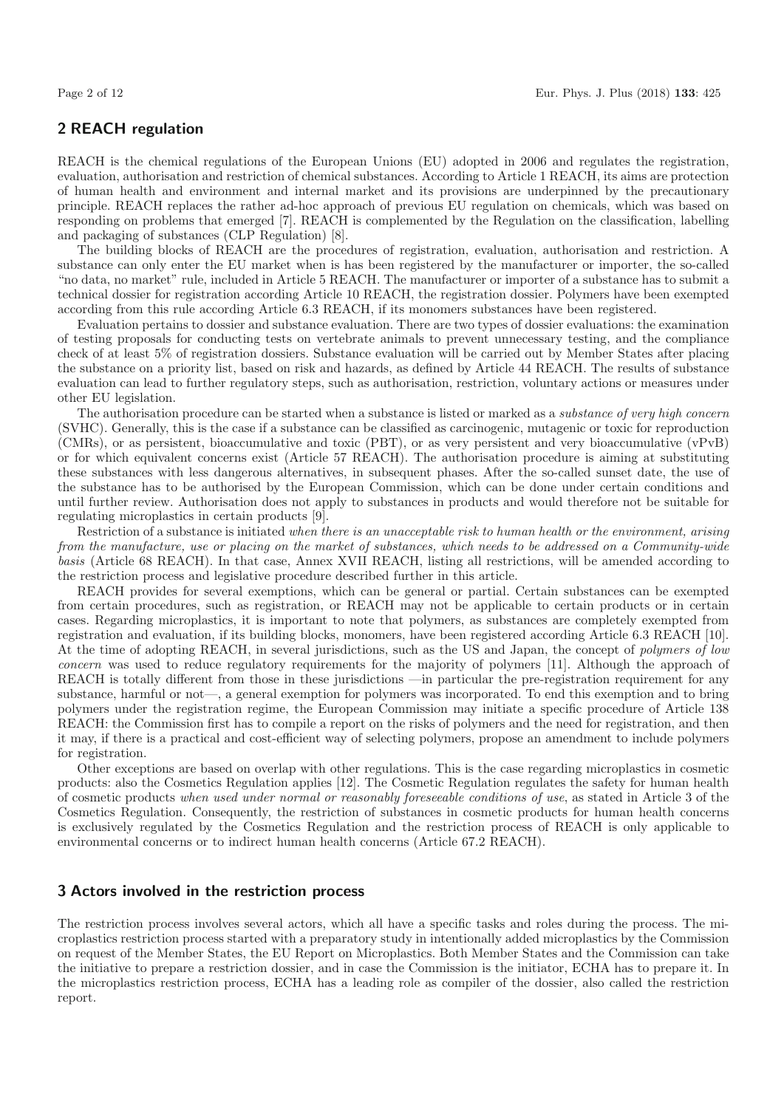# **2 REACH regulation**

REACH is the chemical regulations of the European Unions (EU) adopted in 2006 and regulates the registration, evaluation, authorisation and restriction of chemical substances. According to Article 1 REACH, its aims are protection of human health and environment and internal market and its provisions are underpinned by the precautionary principle. REACH replaces the rather ad-hoc approach of previous EU regulation on chemicals, which was based on responding on problems that emerged [7]. REACH is complemented by the Regulation on the classification, labelling and packaging of substances (CLP Regulation) [8].

The building blocks of REACH are the procedures of registration, evaluation, authorisation and restriction. A substance can only enter the EU market when is has been registered by the manufacturer or importer, the so-called "no data, no market" rule, included in Article 5 REACH. The manufacturer or importer of a substance has to submit a technical dossier for registration according Article 10 REACH, the registration dossier. Polymers have been exempted according from this rule according Article 6.3 REACH, if its monomers substances have been registered.

Evaluation pertains to dossier and substance evaluation. There are two types of dossier evaluations: the examination of testing proposals for conducting tests on vertebrate animals to prevent unnecessary testing, and the compliance check of at least 5% of registration dossiers. Substance evaluation will be carried out by Member States after placing the substance on a priority list, based on risk and hazards, as defined by Article 44 REACH. The results of substance evaluation can lead to further regulatory steps, such as authorisation, restriction, voluntary actions or measures under other EU legislation.

The authorisation procedure can be started when a substance is listed or marked as a *substance of very high concern* (SVHC). Generally, this is the case if a substance can be classified as carcinogenic, mutagenic or toxic for reproduction (CMRs), or as persistent, bioaccumulative and toxic (PBT), or as very persistent and very bioaccumulative (vPvB) or for which equivalent concerns exist (Article 57 REACH). The authorisation procedure is aiming at substituting these substances with less dangerous alternatives, in subsequent phases. After the so-called sunset date, the use of the substance has to be authorised by the European Commission, which can be done under certain conditions and until further review. Authorisation does not apply to substances in products and would therefore not be suitable for regulating microplastics in certain products [9].

Restriction of a substance is initiated when there is an unacceptable risk to human health or the environment, arising from the manufacture, use or placing on the market of substances, which needs to be addressed on a Community-wide basis (Article 68 REACH). In that case, Annex XVII REACH, listing all restrictions, will be amended according to the restriction process and legislative procedure described further in this article.

REACH provides for several exemptions, which can be general or partial. Certain substances can be exempted from certain procedures, such as registration, or REACH may not be applicable to certain products or in certain cases. Regarding microplastics, it is important to note that polymers, as substances are completely exempted from registration and evaluation, if its building blocks, monomers, have been registered according Article 6.3 REACH [10]. At the time of adopting REACH, in several jurisdictions, such as the US and Japan, the concept of *polymers of low* concern was used to reduce regulatory requirements for the majority of polymers [11]. Although the approach of REACH is totally different from those in these jurisdictions —in particular the pre-registration requirement for any substance, harmful or not—, a general exemption for polymers was incorporated. To end this exemption and to bring polymers under the registration regime, the European Commission may initiate a specific procedure of Article 138 REACH: the Commission first has to compile a report on the risks of polymers and the need for registration, and then it may, if there is a practical and cost-efficient way of selecting polymers, propose an amendment to include polymers for registration.

Other exceptions are based on overlap with other regulations. This is the case regarding microplastics in cosmetic products: also the Cosmetics Regulation applies [12]. The Cosmetic Regulation regulates the safety for human health of cosmetic products when used under normal or reasonably foreseeable conditions of use, as stated in Article 3 of the Cosmetics Regulation. Consequently, the restriction of substances in cosmetic products for human health concerns is exclusively regulated by the Cosmetics Regulation and the restriction process of REACH is only applicable to environmental concerns or to indirect human health concerns (Article 67.2 REACH).

# **3 Actors involved in the restriction process**

The restriction process involves several actors, which all have a specific tasks and roles during the process. The microplastics restriction process started with a preparatory study in intentionally added microplastics by the Commission on request of the Member States, the EU Report on Microplastics. Both Member States and the Commission can take the initiative to prepare a restriction dossier, and in case the Commission is the initiator, ECHA has to prepare it. In the microplastics restriction process, ECHA has a leading role as compiler of the dossier, also called the restriction report.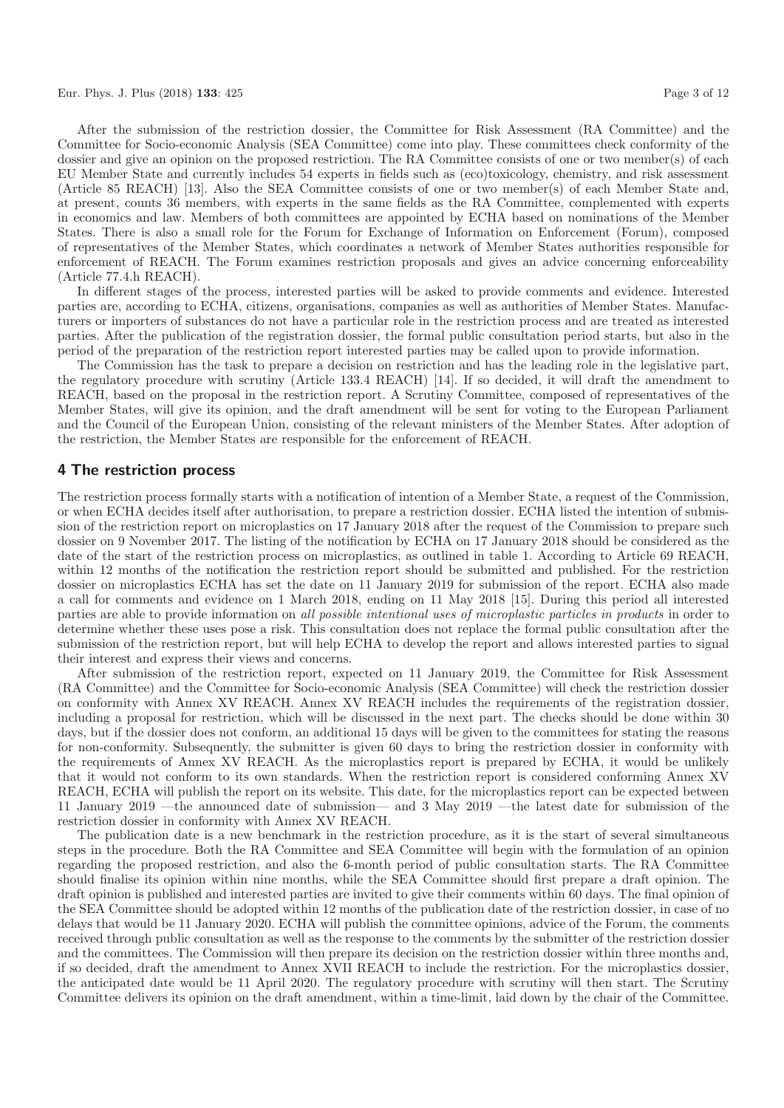After the submission of the restriction dossier, the Committee for Risk Assessment (RA Committee) and the Committee for Socio-economic Analysis (SEA Committee) come into play. These committees check conformity of the dossier and give an opinion on the proposed restriction. The RA Committee consists of one or two member(s) of each EU Member State and currently includes 54 experts in fields such as (eco)toxicology, chemistry, and risk assessment (Article 85 REACH) [13]. Also the SEA Committee consists of one or two member(s) of each Member State and, at present, counts 36 members, with experts in the same fields as the RA Committee, complemented with experts in economics and law. Members of both committees are appointed by ECHA based on nominations of the Member States. There is also a small role for the Forum for Exchange of Information on Enforcement (Forum), composed of representatives of the Member States, which coordinates a network of Member States authorities responsible for enforcement of REACH. The Forum examines restriction proposals and gives an advice concerning enforceability (Article 77.4.h REACH).

In different stages of the process, interested parties will be asked to provide comments and evidence. Interested parties are, according to ECHA, citizens, organisations, companies as well as authorities of Member States. Manufacturers or importers of substances do not have a particular role in the restriction process and are treated as interested parties. After the publication of the registration dossier, the formal public consultation period starts, but also in the period of the preparation of the restriction report interested parties may be called upon to provide information.

The Commission has the task to prepare a decision on restriction and has the leading role in the legislative part, the regulatory procedure with scrutiny (Article 133.4 REACH) [14]. If so decided, it will draft the amendment to REACH, based on the proposal in the restriction report. A Scrutiny Committee, composed of representatives of the Member States, will give its opinion, and the draft amendment will be sent for voting to the European Parliament and the Council of the European Union, consisting of the relevant ministers of the Member States. After adoption of the restriction, the Member States are responsible for the enforcement of REACH.

### **4 The restriction process**

The restriction process formally starts with a notification of intention of a Member State, a request of the Commission, or when ECHA decides itself after authorisation, to prepare a restriction dossier. ECHA listed the intention of submission of the restriction report on microplastics on 17 January 2018 after the request of the Commission to prepare such dossier on 9 November 2017. The listing of the notification by ECHA on 17 January 2018 should be considered as the date of the start of the restriction process on microplastics, as outlined in table 1. According to Article 69 REACH, within 12 months of the notification the restriction report should be submitted and published. For the restriction dossier on microplastics ECHA has set the date on 11 January 2019 for submission of the report. ECHA also made a call for comments and evidence on 1 March 2018, ending on 11 May 2018 [15]. During this period all interested parties are able to provide information on all possible intentional uses of microplastic particles in products in order to determine whether these uses pose a risk. This consultation does not replace the formal public consultation after the submission of the restriction report, but will help ECHA to develop the report and allows interested parties to signal their interest and express their views and concerns.

After submission of the restriction report, expected on 11 January 2019, the Committee for Risk Assessment (RA Committee) and the Committee for Socio-economic Analysis (SEA Committee) will check the restriction dossier on conformity with Annex XV REACH. Annex XV REACH includes the requirements of the registration dossier, including a proposal for restriction, which will be discussed in the next part. The checks should be done within 30 days, but if the dossier does not conform, an additional 15 days will be given to the committees for stating the reasons for non-conformity. Subsequently, the submitter is given 60 days to bring the restriction dossier in conformity with the requirements of Annex XV REACH. As the microplastics report is prepared by ECHA, it would be unlikely that it would not conform to its own standards. When the restriction report is considered conforming Annex XV REACH, ECHA will publish the report on its website. This date, for the microplastics report can be expected between 11 January 2019 —the announced date of submission— and 3 May 2019 —the latest date for submission of the restriction dossier in conformity with Annex XV REACH.

The publication date is a new benchmark in the restriction procedure, as it is the start of several simultaneous steps in the procedure. Both the RA Committee and SEA Committee will begin with the formulation of an opinion regarding the proposed restriction, and also the 6-month period of public consultation starts. The RA Committee should finalise its opinion within nine months, while the SEA Committee should first prepare a draft opinion. The draft opinion is published and interested parties are invited to give their comments within 60 days. The final opinion of the SEA Committee should be adopted within 12 months of the publication date of the restriction dossier, in case of no delays that would be 11 January 2020. ECHA will publish the committee opinions, advice of the Forum, the comments received through public consultation as well as the response to the comments by the submitter of the restriction dossier and the committees. The Commission will then prepare its decision on the restriction dossier within three months and, if so decided, draft the amendment to Annex XVII REACH to include the restriction. For the microplastics dossier, the anticipated date would be 11 April 2020. The regulatory procedure with scrutiny will then start. The Scrutiny Committee delivers its opinion on the draft amendment, within a time-limit, laid down by the chair of the Committee.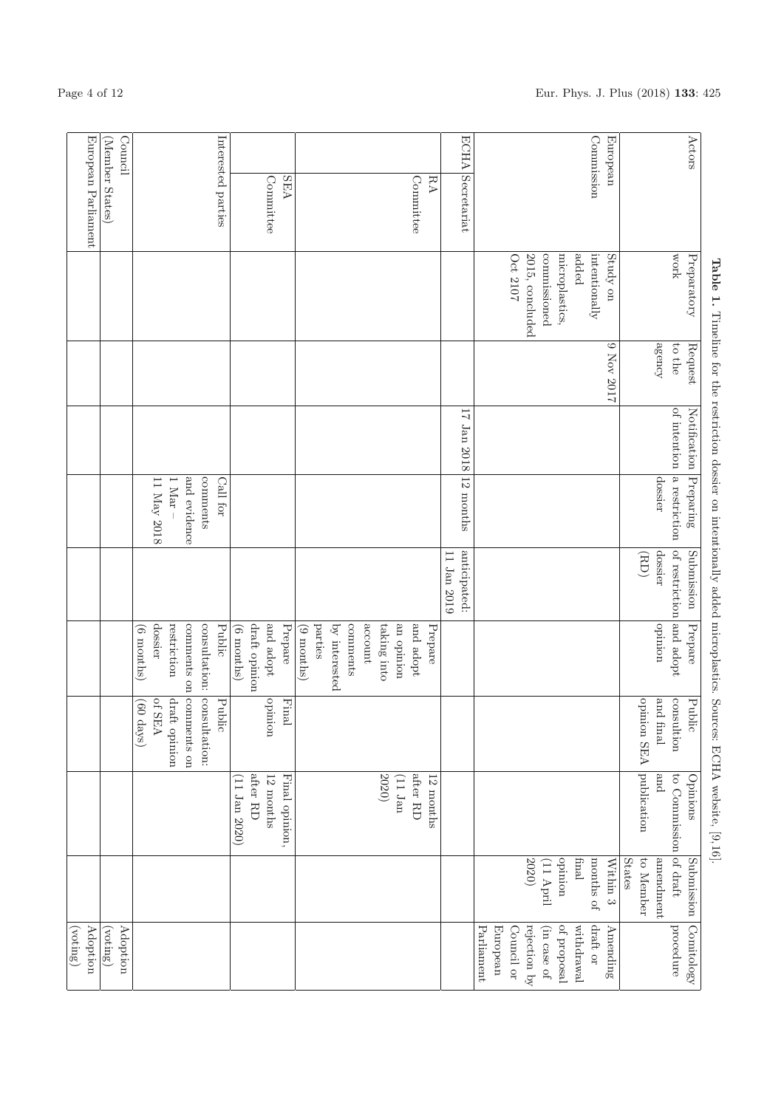|                     | <b>Table 1.</b> Timeline for the restriction dossier on intentionally added microplastics. Sources: ECHA website, [9,16]. |            |              |                    |                              |                         |               |                        |            |                              |
|---------------------|---------------------------------------------------------------------------------------------------------------------------|------------|--------------|--------------------|------------------------------|-------------------------|---------------|------------------------|------------|------------------------------|
| Actors              | Preparatory                                                                                                               | Request    | Notification | Preparing          | Submission                   | ${\bf Prepart}$         | Public        | Opinions               | Submission | Comitology                   |
|                     | work                                                                                                                      | to the     | of intention | a restriction      | of restriction and adopt     |                         | consultion    | to Commission of draft |            | procedure                    |
|                     |                                                                                                                           | agency     |              | dossier            | dossier                      | uoturdo                 | and final     | pue                    | amendment  |                              |
|                     |                                                                                                                           |            |              |                    | $\left( \mathrm{RD} \right)$ |                         | opinion SEA   | publication            | to Member  |                              |
|                     |                                                                                                                           |            |              |                    |                              |                         |               |                        | States     |                              |
| European            | Study on                                                                                                                  | 9 Nov 2017 |              |                    |                              |                         |               |                        | Within 3   | Amending                     |
| Commission          | intentionally                                                                                                             |            |              |                    |                              |                         |               |                        | months of  | draft or                     |
|                     | pappe                                                                                                                     |            |              |                    |                              |                         |               |                        | final      | withdrawal                   |
|                     | microplastics,                                                                                                            |            |              |                    |                              |                         |               |                        | opinion    | deposad<br>to<br>posad<br>so |
|                     | commissioned                                                                                                              |            |              |                    |                              |                         |               |                        | (11 April  | (in case of                  |
|                     | 2015, concluded                                                                                                           |            |              |                    |                              |                         |               |                        | 2020)      | rejection by                 |
|                     | Oct 2107                                                                                                                  |            |              |                    |                              |                         |               |                        |            | Council or                   |
|                     |                                                                                                                           |            |              |                    |                              |                         |               |                        |            | European                     |
|                     |                                                                                                                           |            |              |                    |                              |                         |               |                        |            | Parliament                   |
| ECHA Secretariat    |                                                                                                                           |            | 17 Jan 2018  | 12 months          | anticipated:<br>11 Jan 2019  |                         |               |                        |            |                              |
| RA                  |                                                                                                                           |            |              |                    |                              | Prepare                 |               | $12\;\mathrm{months}$  |            |                              |
|                     |                                                                                                                           |            |              |                    |                              |                         |               |                        |            |                              |
| Committee           |                                                                                                                           |            |              |                    |                              | an opinion<br>and adopt |               | after RD<br>(11 Jan    |            |                              |
|                     |                                                                                                                           |            |              |                    |                              | taking into             |               | $ 2020\rangle$         |            |                              |
|                     |                                                                                                                           |            |              |                    |                              | account                 |               |                        |            |                              |
|                     |                                                                                                                           |            |              |                    |                              | comments                |               |                        |            |                              |
|                     |                                                                                                                           |            |              |                    |                              | by interested           |               |                        |            |                              |
|                     |                                                                                                                           |            |              |                    |                              | parties                 |               |                        |            |                              |
|                     |                                                                                                                           |            |              |                    |                              | $(9$ months)            |               |                        |            |                              |
| <b>SEA</b>          |                                                                                                                           |            |              |                    |                              | Prepare                 | Final         | Final opinion,         |            |                              |
| Committee           |                                                                                                                           |            |              |                    |                              | and adopt               | uoiniqo       | $12\;\mathrm{months}$  |            |                              |
|                     |                                                                                                                           |            |              |                    |                              | draft opinion           |               | after RD               |            |                              |
|                     |                                                                                                                           |            |              |                    |                              | $(6 \text{ months})$    |               | (11 Jan 2020)          |            |                              |
| Interested parties  |                                                                                                                           |            |              | Call for           |                              | Public                  | Public        |                        |            |                              |
|                     |                                                                                                                           |            |              | comments           |                              | consultation:           | consultation: |                        |            |                              |
|                     |                                                                                                                           |            |              | and evidence       |                              | comments on             | comments on   |                        |            |                              |
|                     |                                                                                                                           |            |              | $1$ Mar $\text{-}$ |                              | restriction             | draft opinion |                        |            |                              |
|                     |                                                                                                                           |            |              | 11 May 2018        |                              | dossier                 | <b>of SEA</b> |                        |            |                              |
|                     |                                                                                                                           |            |              |                    |                              | $(6$ months)            | $(sx$ ays)    |                        |            |                              |
| Council             |                                                                                                                           |            |              |                    |                              |                         |               |                        |            | Adoption                     |
| (Member States)     |                                                                                                                           |            |              |                    |                              |                         |               |                        |            | (yoting)                     |
| European Parliament |                                                                                                                           |            |              |                    |                              |                         |               |                        |            | Adoption                     |
|                     |                                                                                                                           |            |              |                    |                              |                         |               |                        |            | (yoting)                     |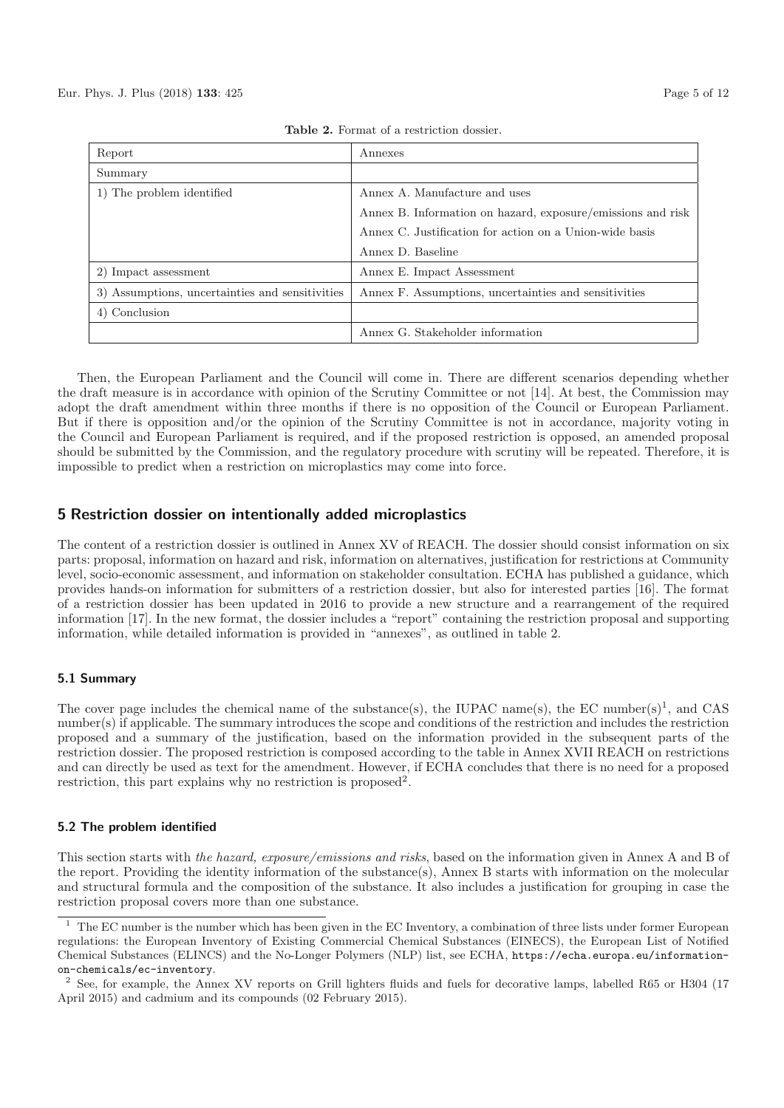| Report                                          | Annexes                                                     |
|-------------------------------------------------|-------------------------------------------------------------|
| Summary                                         |                                                             |
| 1) The problem identified                       | Annex A. Manufacture and uses                               |
|                                                 | Annex B. Information on hazard, exposure/emissions and risk |
|                                                 | Annex C. Justification for action on a Union-wide basis     |
|                                                 | Annex D. Baseline                                           |
| 2) Impact assessment                            | Annex E. Impact Assessment                                  |
| 3) Assumptions, uncertainties and sensitivities | Annex F. Assumptions, uncertainties and sensitivities       |
| 4) Conclusion                                   |                                                             |
|                                                 | Annex G. Stakeholder information                            |

**Table 2.** Format of a restriction dossier.

Then, the European Parliament and the Council will come in. There are different scenarios depending whether the draft measure is in accordance with opinion of the Scrutiny Committee or not [14]. At best, the Commission may adopt the draft amendment within three months if there is no opposition of the Council or European Parliament. But if there is opposition and/or the opinion of the Scrutiny Committee is not in accordance, majority voting in the Council and European Parliament is required, and if the proposed restriction is opposed, an amended proposal should be submitted by the Commission, and the regulatory procedure with scrutiny will be repeated. Therefore, it is impossible to predict when a restriction on microplastics may come into force.

# **5 Restriction dossier on intentionally added microplastics**

The content of a restriction dossier is outlined in Annex XV of REACH. The dossier should consist information on six parts: proposal, information on hazard and risk, information on alternatives, justification for restrictions at Community level, socio-economic assessment, and information on stakeholder consultation. ECHA has published a guidance, which provides hands-on information for submitters of a restriction dossier, but also for interested parties [16]. The format of a restriction dossier has been updated in 2016 to provide a new structure and a rearrangement of the required information [17]. In the new format, the dossier includes a "report" containing the restriction proposal and supporting information, while detailed information is provided in "annexes", as outlined in table 2.

# **5.1 Summary**

The cover page includes the chemical name of the substance(s), the IUPAC name(s), the EC number(s)<sup>1</sup>, and CAS number(s) if applicable. The summary introduces the scope and conditions of the restriction and includes the restriction proposed and a summary of the justification, based on the information provided in the subsequent parts of the restriction dossier. The proposed restriction is composed according to the table in Annex XVII REACH on restrictions and can directly be used as text for the amendment. However, if ECHA concludes that there is no need for a proposed restriction, this part explains why no restriction is proposed<sup>2</sup>.

### **5.2 The problem identified**

This section starts with the hazard, exposure/emissions and risks, based on the information given in Annex A and B of the report. Providing the identity information of the substance(s), Annex B starts with information on the molecular and structural formula and the composition of the substance. It also includes a justification for grouping in case the restriction proposal covers more than one substance.

<sup>1</sup> The EC number is the number which has been given in the EC Inventory, a combination of three lists under former European regulations: the European Inventory of Existing Commercial Chemical Substances (EINECS), the European List of Notified Chemical Substances (ELINCS) and the No-Longer Polymers (NLP) list, see ECHA, https://echa.europa.eu/informationon-chemicals/ec-inventory.

 $2^{\circ}$  See, for example, the Annex XV reports on Grill lighters fluids and fuels for decorative lamps, labelled R65 or H304 (17) April 2015) and cadmium and its compounds (02 February 2015).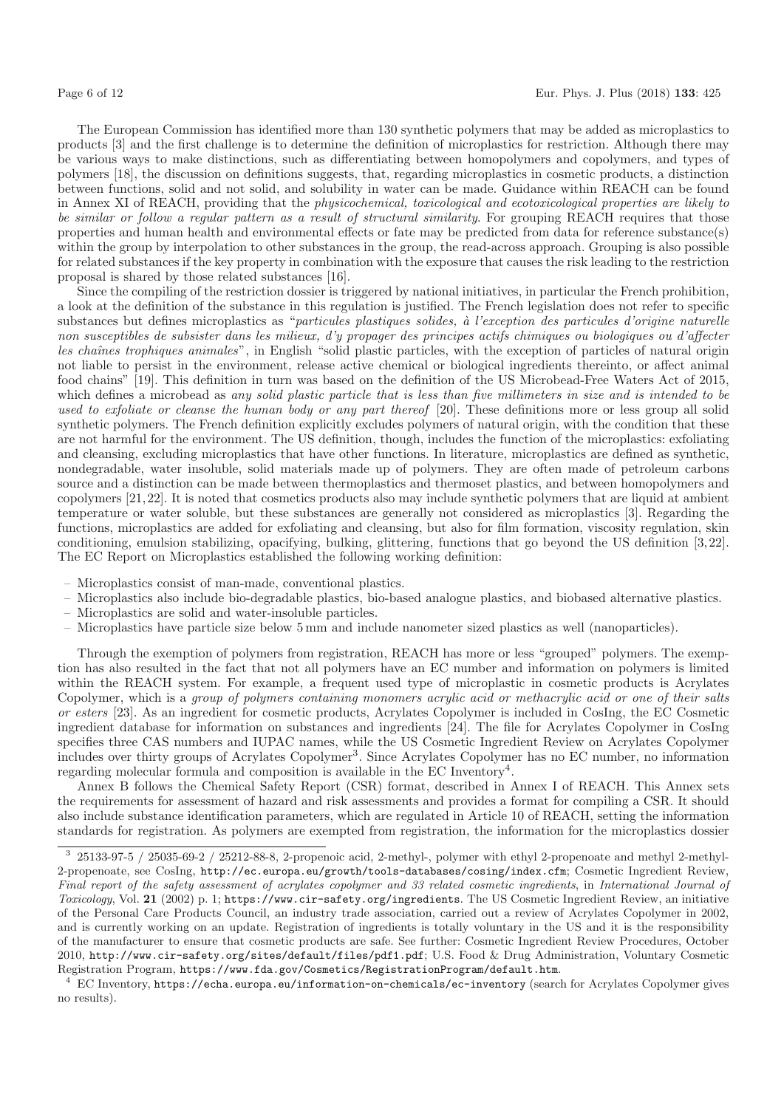The European Commission has identified more than 130 synthetic polymers that may be added as microplastics to products [3] and the first challenge is to determine the definition of microplastics for restriction. Although there may be various ways to make distinctions, such as differentiating between homopolymers and copolymers, and types of polymers [18], the discussion on definitions suggests, that, regarding microplastics in cosmetic products, a distinction between functions, solid and not solid, and solubility in water can be made. Guidance within REACH can be found in Annex XI of REACH, providing that the physicochemical, toxicological and ecotoxicological properties are likely to be similar or follow a regular pattern as a result of structural similarity. For grouping REACH requires that those properties and human health and environmental effects or fate may be predicted from data for reference substance(s) within the group by interpolation to other substances in the group, the read-across approach. Grouping is also possible for related substances if the key property in combination with the exposure that causes the risk leading to the restriction proposal is shared by those related substances [16].

Since the compiling of the restriction dossier is triggered by national initiatives, in particular the French prohibition, a look at the definition of the substance in this regulation is justified. The French legislation does not refer to specific substances but defines microplastics as "particules plastiques solides, à l'exception des particules d'origine naturelle non susceptibles de subsister dans les milieux, d'y propager des principes actifs chimiques ou biologiques ou d'affecter les chaînes trophiques animales", in English "solid plastic particles, with the exception of particles of natural origin not liable to persist in the environment, release active chemical or biological ingredients thereinto, or affect animal food chains" [19]. This definition in turn was based on the definition of the US Microbead-Free Waters Act of 2015, which defines a microbead as any solid plastic particle that is less than five millimeters in size and is intended to be used to exfoliate or cleanse the human body or any part thereof [20]. These definitions more or less group all solid synthetic polymers. The French definition explicitly excludes polymers of natural origin, with the condition that these are not harmful for the environment. The US definition, though, includes the function of the microplastics: exfoliating and cleansing, excluding microplastics that have other functions. In literature, microplastics are defined as synthetic, nondegradable, water insoluble, solid materials made up of polymers. They are often made of petroleum carbons source and a distinction can be made between thermoplastics and thermoset plastics, and between homopolymers and copolymers [21,22]. It is noted that cosmetics products also may include synthetic polymers that are liquid at ambient temperature or water soluble, but these substances are generally not considered as microplastics [3]. Regarding the functions, microplastics are added for exfoliating and cleansing, but also for film formation, viscosity regulation, skin conditioning, emulsion stabilizing, opacifying, bulking, glittering, functions that go beyond the US definition [3,22]. The EC Report on Microplastics established the following working definition:

- Microplastics consist of man-made, conventional plastics.
- Microplastics also include bio-degradable plastics, bio-based analogue plastics, and biobased alternative plastics.
- Microplastics are solid and water-insoluble particles.
- Microplastics have particle size below 5mm and include nanometer sized plastics as well (nanoparticles).

Through the exemption of polymers from registration, REACH has more or less "grouped" polymers. The exemption has also resulted in the fact that not all polymers have an EC number and information on polymers is limited within the REACH system. For example, a frequent used type of microplastic in cosmetic products is Acrylates Copolymer, which is a group of polymers containing monomers acrylic acid or methacrylic acid or one of their salts or esters [23]. As an ingredient for cosmetic products, Acrylates Copolymer is included in CosIng, the EC Cosmetic ingredient database for information on substances and ingredients [24]. The file for Acrylates Copolymer in CosIng specifies three CAS numbers and IUPAC names, while the US Cosmetic Ingredient Review on Acrylates Copolymer includes over thirty groups of Acrylates Copolymer<sup>3</sup>. Since Acrylates Copolymer has no EC number, no information regarding molecular formula and composition is available in the EC Inventory<sup>4</sup>.

Annex B follows the Chemical Safety Report (CSR) format, described in Annex I of REACH. This Annex sets the requirements for assessment of hazard and risk assessments and provides a format for compiling a CSR. It should also include substance identification parameters, which are regulated in Article 10 of REACH, setting the information standards for registration. As polymers are exempted from registration, the information for the microplastics dossier

<sup>3</sup> 25133-97-5 / 25035-69-2 / 25212-88-8, 2-propenoic acid, 2-methyl-, polymer with ethyl 2-propenoate and methyl 2-methyl-2-propenoate, see CosIng, http://ec.europa.eu/growth/tools-databases/cosing/index.cfm; Cosmetic Ingredient Review, Final report of the safety assessment of acrylates copolymer and 33 related cosmetic ingredients, in International Journal of Toxicology, Vol. **21** (2002) p. 1; https://www.cir-safety.org/ingredients. The US Cosmetic Ingredient Review, an initiative of the Personal Care Products Council, an industry trade association, carried out a review of Acrylates Copolymer in 2002, and is currently working on an update. Registration of ingredients is totally voluntary in the US and it is the responsibility of the manufacturer to ensure that cosmetic products are safe. See further: Cosmetic Ingredient Review Procedures, October 2010, http://www.cir-safety.org/sites/default/files/pdf1.pdf; U.S. Food & Drug Administration, Voluntary Cosmetic Registration Program, https://www.fda.gov/Cosmetics/RegistrationProgram/default.htm.

<sup>4</sup> EC Inventory, https://echa.europa.eu/information-on-chemicals/ec-inventory (search for Acrylates Copolymer gives no results).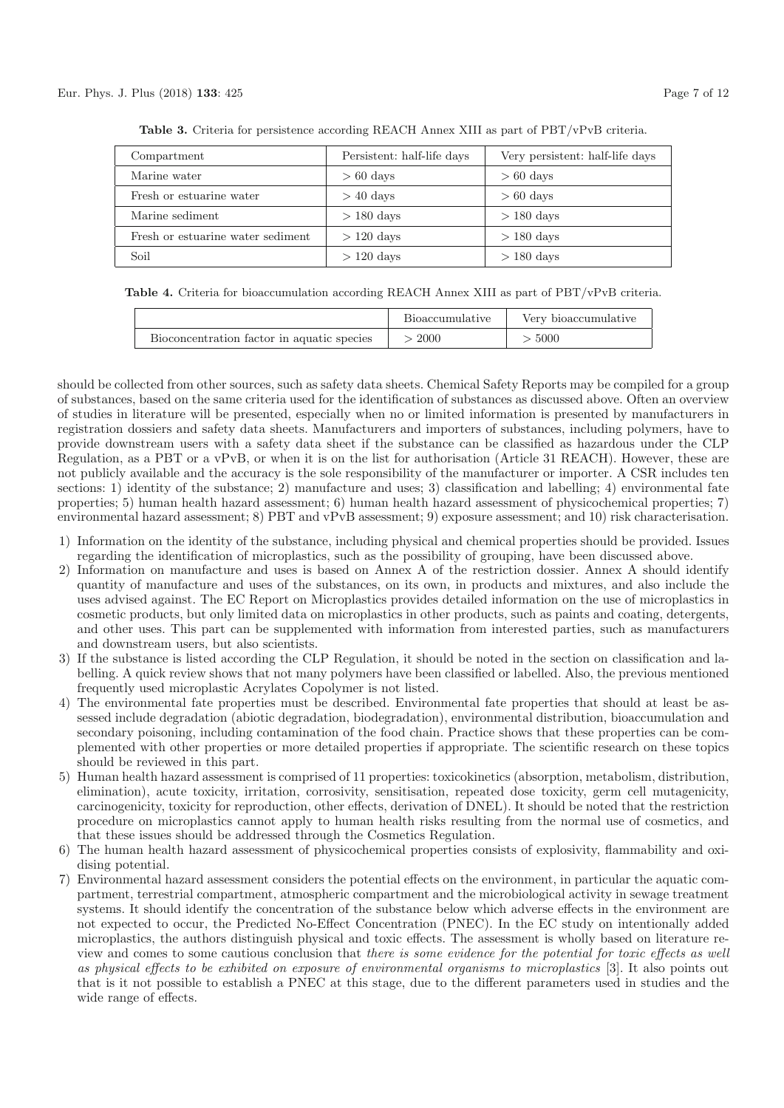| Compartment                       | Persistent: half-life days | Very persistent: half-life days |
|-----------------------------------|----------------------------|---------------------------------|
| Marine water                      | $> 60$ days                | $> 60$ days                     |
| Fresh or estuarine water          | $> 40$ days                | $> 60$ days                     |
| Marine sediment                   | $> 180$ days               | $> 180$ days                    |
| Fresh or estuarine water sediment | $>120$ days                | $> 180$ days                    |
| Soil                              | $>120$ days                | $> 180$ days                    |

Table 3. Criteria for persistence according REACH Annex XIII as part of PBT/vPvB criteria.

**Table 4.** Criteria for bioaccumulation according REACH Annex XIII as part of PBT/vPvB criteria.

|                                            | Bioaccumulative | Very bioaccumulative |
|--------------------------------------------|-----------------|----------------------|
| Bioconcentration factor in aquatic species | 2000            | >5000                |

should be collected from other sources, such as safety data sheets. Chemical Safety Reports may be compiled for a group of substances, based on the same criteria used for the identification of substances as discussed above. Often an overview of studies in literature will be presented, especially when no or limited information is presented by manufacturers in registration dossiers and safety data sheets. Manufacturers and importers of substances, including polymers, have to provide downstream users with a safety data sheet if the substance can be classified as hazardous under the CLP Regulation, as a PBT or a vPvB, or when it is on the list for authorisation (Article 31 REACH). However, these are not publicly available and the accuracy is the sole responsibility of the manufacturer or importer. A CSR includes ten sections: 1) identity of the substance; 2) manufacture and uses; 3) classification and labelling; 4) environmental fate properties; 5) human health hazard assessment; 6) human health hazard assessment of physicochemical properties; 7) environmental hazard assessment; 8) PBT and vPvB assessment; 9) exposure assessment; and 10) risk characterisation.

- 1) Information on the identity of the substance, including physical and chemical properties should be provided. Issues regarding the identification of microplastics, such as the possibility of grouping, have been discussed above.
- 2) Information on manufacture and uses is based on Annex A of the restriction dossier. Annex A should identify quantity of manufacture and uses of the substances, on its own, in products and mixtures, and also include the uses advised against. The EC Report on Microplastics provides detailed information on the use of microplastics in cosmetic products, but only limited data on microplastics in other products, such as paints and coating, detergents, and other uses. This part can be supplemented with information from interested parties, such as manufacturers and downstream users, but also scientists.
- 3) If the substance is listed according the CLP Regulation, it should be noted in the section on classification and labelling. A quick review shows that not many polymers have been classified or labelled. Also, the previous mentioned frequently used microplastic Acrylates Copolymer is not listed.
- 4) The environmental fate properties must be described. Environmental fate properties that should at least be assessed include degradation (abiotic degradation, biodegradation), environmental distribution, bioaccumulation and secondary poisoning, including contamination of the food chain. Practice shows that these properties can be complemented with other properties or more detailed properties if appropriate. The scientific research on these topics should be reviewed in this part.
- 5) Human health hazard assessment is comprised of 11 properties: toxicokinetics (absorption, metabolism, distribution, elimination), acute toxicity, irritation, corrosivity, sensitisation, repeated dose toxicity, germ cell mutagenicity, carcinogenicity, toxicity for reproduction, other effects, derivation of DNEL). It should be noted that the restriction procedure on microplastics cannot apply to human health risks resulting from the normal use of cosmetics, and that these issues should be addressed through the Cosmetics Regulation.
- 6) The human health hazard assessment of physicochemical properties consists of explosivity, flammability and oxidising potential.
- 7) Environmental hazard assessment considers the potential effects on the environment, in particular the aquatic compartment, terrestrial compartment, atmospheric compartment and the microbiological activity in sewage treatment systems. It should identify the concentration of the substance below which adverse effects in the environment are not expected to occur, the Predicted No-Effect Concentration (PNEC). In the EC study on intentionally added microplastics, the authors distinguish physical and toxic effects. The assessment is wholly based on literature review and comes to some cautious conclusion that there is some evidence for the potential for toxic effects as well as physical effects to be exhibited on exposure of environmental organisms to microplastics [3]. It also points out that is it not possible to establish a PNEC at this stage, due to the different parameters used in studies and the wide range of effects.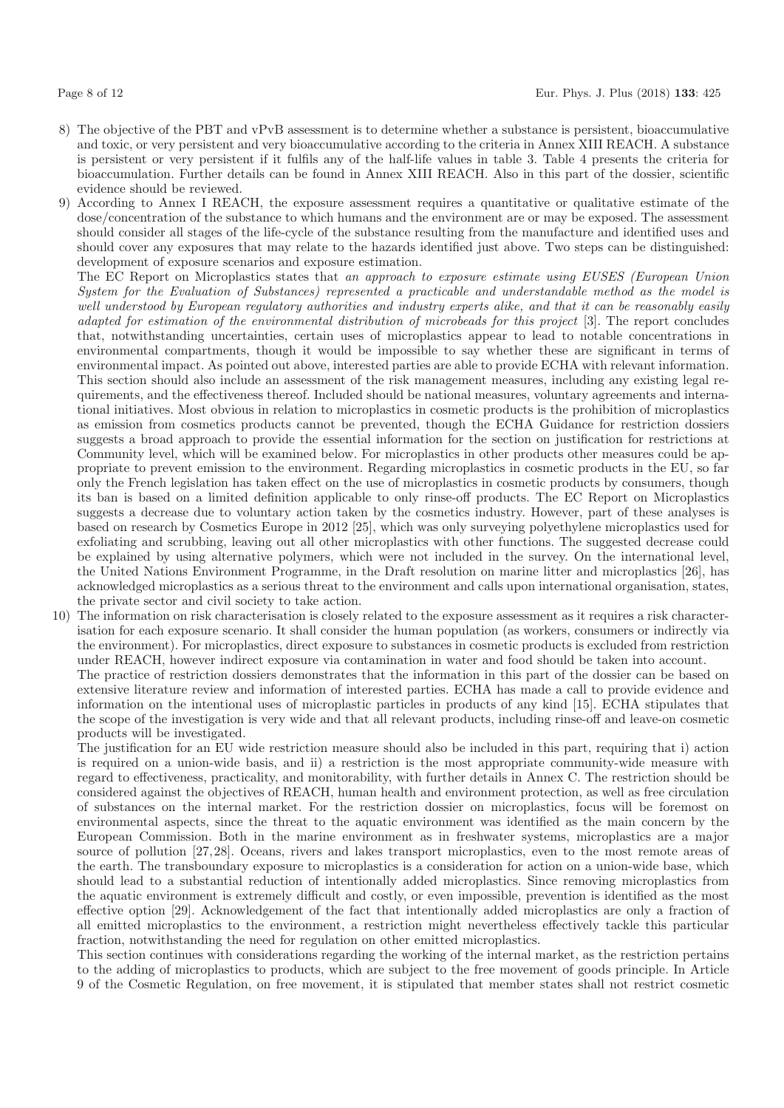- 8) The objective of the PBT and vPvB assessment is to determine whether a substance is persistent, bioaccumulative and toxic, or very persistent and very bioaccumulative according to the criteria in Annex XIII REACH. A substance is persistent or very persistent if it fulfils any of the half-life values in table 3. Table 4 presents the criteria for bioaccumulation. Further details can be found in Annex XIII REACH. Also in this part of the dossier, scientific evidence should be reviewed.
- According to Annex I REACH, the exposure assessment requires a quantitative or qualitative estimate of the dose/concentration of the substance to which humans and the environment are or may be exposed. The assessment should consider all stages of the life-cycle of the substance resulting from the manufacture and identified uses and should cover any exposures that may relate to the hazards identified just above. Two steps can be distinguished: development of exposure scenarios and exposure estimation.

The EC Report on Microplastics states that an approach to exposure estimate using EUSES (European Union System for the Evaluation of Substances) represented a practicable and understandable method as the model is well understood by European regulatory authorities and industry experts alike, and that it can be reasonably easily adapted for estimation of the environmental distribution of microbeads for this project [3]. The report concludes that, notwithstanding uncertainties, certain uses of microplastics appear to lead to notable concentrations in environmental compartments, though it would be impossible to say whether these are significant in terms of environmental impact. As pointed out above, interested parties are able to provide ECHA with relevant information. This section should also include an assessment of the risk management measures, including any existing legal requirements, and the effectiveness thereof. Included should be national measures, voluntary agreements and international initiatives. Most obvious in relation to microplastics in cosmetic products is the prohibition of microplastics as emission from cosmetics products cannot be prevented, though the ECHA Guidance for restriction dossiers suggests a broad approach to provide the essential information for the section on justification for restrictions at Community level, which will be examined below. For microplastics in other products other measures could be appropriate to prevent emission to the environment. Regarding microplastics in cosmetic products in the EU, so far only the French legislation has taken effect on the use of microplastics in cosmetic products by consumers, though its ban is based on a limited definition applicable to only rinse-off products. The EC Report on Microplastics suggests a decrease due to voluntary action taken by the cosmetics industry. However, part of these analyses is based on research by Cosmetics Europe in 2012 [25], which was only surveying polyethylene microplastics used for exfoliating and scrubbing, leaving out all other microplastics with other functions. The suggested decrease could be explained by using alternative polymers, which were not included in the survey. On the international level, the United Nations Environment Programme, in the Draft resolution on marine litter and microplastics [26], has acknowledged microplastics as a serious threat to the environment and calls upon international organisation, states, the private sector and civil society to take action.

10) The information on risk characterisation is closely related to the exposure assessment as it requires a risk characterisation for each exposure scenario. It shall consider the human population (as workers, consumers or indirectly via the environment). For microplastics, direct exposure to substances in cosmetic products is excluded from restriction under REACH, however indirect exposure via contamination in water and food should be taken into account.

The practice of restriction dossiers demonstrates that the information in this part of the dossier can be based on extensive literature review and information of interested parties. ECHA has made a call to provide evidence and information on the intentional uses of microplastic particles in products of any kind [15]. ECHA stipulates that the scope of the investigation is very wide and that all relevant products, including rinse-off and leave-on cosmetic products will be investigated.

The justification for an EU wide restriction measure should also be included in this part, requiring that i) action is required on a union-wide basis, and ii) a restriction is the most appropriate community-wide measure with regard to effectiveness, practicality, and monitorability, with further details in Annex C. The restriction should be considered against the objectives of REACH, human health and environment protection, as well as free circulation of substances on the internal market. For the restriction dossier on microplastics, focus will be foremost on environmental aspects, since the threat to the aquatic environment was identified as the main concern by the European Commission. Both in the marine environment as in freshwater systems, microplastics are a major source of pollution [27,28]. Oceans, rivers and lakes transport microplastics, even to the most remote areas of the earth. The transboundary exposure to microplastics is a consideration for action on a union-wide base, which should lead to a substantial reduction of intentionally added microplastics. Since removing microplastics from the aquatic environment is extremely difficult and costly, or even impossible, prevention is identified as the most effective option [29]. Acknowledgement of the fact that intentionally added microplastics are only a fraction of all emitted microplastics to the environment, a restriction might nevertheless effectively tackle this particular fraction, notwithstanding the need for regulation on other emitted microplastics.

This section continues with considerations regarding the working of the internal market, as the restriction pertains to the adding of microplastics to products, which are subject to the free movement of goods principle. In Article 9 of the Cosmetic Regulation, on free movement, it is stipulated that member states shall not restrict cosmetic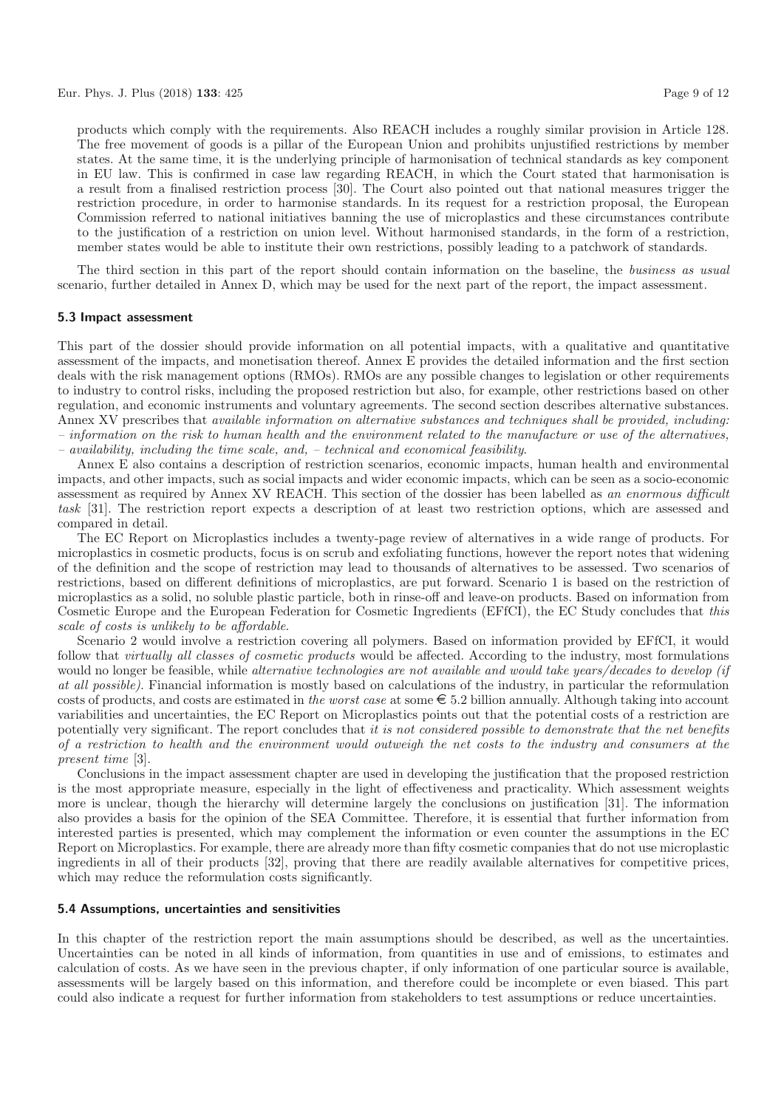products which comply with the requirements. Also REACH includes a roughly similar provision in Article 128. The free movement of goods is a pillar of the European Union and prohibits unjustified restrictions by member states. At the same time, it is the underlying principle of harmonisation of technical standards as key component in EU law. This is confirmed in case law regarding REACH, in which the Court stated that harmonisation is a result from a finalised restriction process [30]. The Court also pointed out that national measures trigger the restriction procedure, in order to harmonise standards. In its request for a restriction proposal, the European Commission referred to national initiatives banning the use of microplastics and these circumstances contribute to the justification of a restriction on union level. Without harmonised standards, in the form of a restriction, member states would be able to institute their own restrictions, possibly leading to a patchwork of standards.

The third section in this part of the report should contain information on the baseline, the business as usual scenario, further detailed in Annex D, which may be used for the next part of the report, the impact assessment.

### **5.3 Impact assessment**

This part of the dossier should provide information on all potential impacts, with a qualitative and quantitative assessment of the impacts, and monetisation thereof. Annex E provides the detailed information and the first section deals with the risk management options (RMOs). RMOs are any possible changes to legislation or other requirements to industry to control risks, including the proposed restriction but also, for example, other restrictions based on other regulation, and economic instruments and voluntary agreements. The second section describes alternative substances. Annex XV prescribes that *available information on alternative substances and techniques shall be provided, including:* – information on the risk to human health and the environment related to the manufacture or use of the alternatives,

 $-$  availability, including the time scale, and,  $-$  technical and economical feasibility.

Annex E also contains a description of restriction scenarios, economic impacts, human health and environmental impacts, and other impacts, such as social impacts and wider economic impacts, which can be seen as a socio-economic assessment as required by Annex XV REACH. This section of the dossier has been labelled as an enormous difficult task [31]. The restriction report expects a description of at least two restriction options, which are assessed and compared in detail.

The EC Report on Microplastics includes a twenty-page review of alternatives in a wide range of products. For microplastics in cosmetic products, focus is on scrub and exfoliating functions, however the report notes that widening of the definition and the scope of restriction may lead to thousands of alternatives to be assessed. Two scenarios of restrictions, based on different definitions of microplastics, are put forward. Scenario 1 is based on the restriction of microplastics as a solid, no soluble plastic particle, both in rinse-off and leave-on products. Based on information from Cosmetic Europe and the European Federation for Cosmetic Ingredients (EFfCI), the EC Study concludes that this scale of costs is unlikely to be affordable.

Scenario 2 would involve a restriction covering all polymers. Based on information provided by EFfCI, it would follow that *virtually all classes of cosmetic products* would be affected. According to the industry, most formulations would no longer be feasible, while *alternative technologies are not available and would take years/decades to develop (if* at all possible). Financial information is mostly based on calculations of the industry, in particular the reformulation costs of products, and costs are estimated in the worst case at some  $\epsilon$  5.2 billion annually. Although taking into account variabilities and uncertainties, the EC Report on Microplastics points out that the potential costs of a restriction are potentially very significant. The report concludes that it is not considered possible to demonstrate that the net benefits of a restriction to health and the environment would outweigh the net costs to the industry and consumers at the present time [3].

Conclusions in the impact assessment chapter are used in developing the justification that the proposed restriction is the most appropriate measure, especially in the light of effectiveness and practicality. Which assessment weights more is unclear, though the hierarchy will determine largely the conclusions on justification [31]. The information also provides a basis for the opinion of the SEA Committee. Therefore, it is essential that further information from interested parties is presented, which may complement the information or even counter the assumptions in the EC Report on Microplastics. For example, there are already more than fifty cosmetic companies that do not use microplastic ingredients in all of their products [32], proving that there are readily available alternatives for competitive prices, which may reduce the reformulation costs significantly.

### **5.4 Assumptions, uncertainties and sensitivities**

In this chapter of the restriction report the main assumptions should be described, as well as the uncertainties. Uncertainties can be noted in all kinds of information, from quantities in use and of emissions, to estimates and calculation of costs. As we have seen in the previous chapter, if only information of one particular source is available, assessments will be largely based on this information, and therefore could be incomplete or even biased. This part could also indicate a request for further information from stakeholders to test assumptions or reduce uncertainties.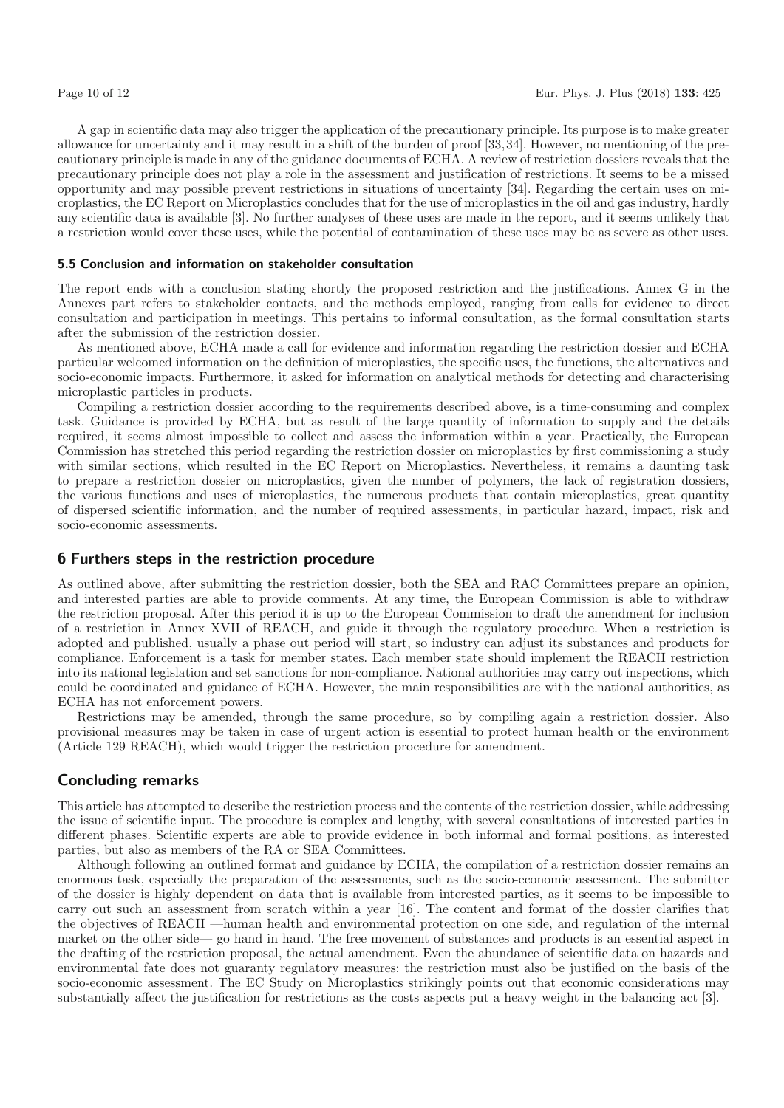A gap in scientific data may also trigger the application of the precautionary principle. Its purpose is to make greater allowance for uncertainty and it may result in a shift of the burden of proof [33,34]. However, no mentioning of the precautionary principle is made in any of the guidance documents of ECHA. A review of restriction dossiers reveals that the precautionary principle does not play a role in the assessment and justification of restrictions. It seems to be a missed opportunity and may possible prevent restrictions in situations of uncertainty [34]. Regarding the certain uses on microplastics, the EC Report on Microplastics concludes that for the use of microplastics in the oil and gas industry, hardly any scientific data is available [3]. No further analyses of these uses are made in the report, and it seems unlikely that a restriction would cover these uses, while the potential of contamination of these uses may be as severe as other uses.

### **5.5 Conclusion and information on stakeholder consultation**

The report ends with a conclusion stating shortly the proposed restriction and the justifications. Annex G in the Annexes part refers to stakeholder contacts, and the methods employed, ranging from calls for evidence to direct consultation and participation in meetings. This pertains to informal consultation, as the formal consultation starts after the submission of the restriction dossier.

As mentioned above, ECHA made a call for evidence and information regarding the restriction dossier and ECHA particular welcomed information on the definition of microplastics, the specific uses, the functions, the alternatives and socio-economic impacts. Furthermore, it asked for information on analytical methods for detecting and characterising microplastic particles in products.

Compiling a restriction dossier according to the requirements described above, is a time-consuming and complex task. Guidance is provided by ECHA, but as result of the large quantity of information to supply and the details required, it seems almost impossible to collect and assess the information within a year. Practically, the European Commission has stretched this period regarding the restriction dossier on microplastics by first commissioning a study with similar sections, which resulted in the EC Report on Microplastics. Nevertheless, it remains a daunting task to prepare a restriction dossier on microplastics, given the number of polymers, the lack of registration dossiers, the various functions and uses of microplastics, the numerous products that contain microplastics, great quantity of dispersed scientific information, and the number of required assessments, in particular hazard, impact, risk and socio-economic assessments.

### **6 Furthers steps in the restriction procedure**

As outlined above, after submitting the restriction dossier, both the SEA and RAC Committees prepare an opinion, and interested parties are able to provide comments. At any time, the European Commission is able to withdraw the restriction proposal. After this period it is up to the European Commission to draft the amendment for inclusion of a restriction in Annex XVII of REACH, and guide it through the regulatory procedure. When a restriction is adopted and published, usually a phase out period will start, so industry can adjust its substances and products for compliance. Enforcement is a task for member states. Each member state should implement the REACH restriction into its national legislation and set sanctions for non-compliance. National authorities may carry out inspections, which could be coordinated and guidance of ECHA. However, the main responsibilities are with the national authorities, as ECHA has not enforcement powers.

Restrictions may be amended, through the same procedure, so by compiling again a restriction dossier. Also provisional measures may be taken in case of urgent action is essential to protect human health or the environment (Article 129 REACH), which would trigger the restriction procedure for amendment.

# **Concluding remarks**

This article has attempted to describe the restriction process and the contents of the restriction dossier, while addressing the issue of scientific input. The procedure is complex and lengthy, with several consultations of interested parties in different phases. Scientific experts are able to provide evidence in both informal and formal positions, as interested parties, but also as members of the RA or SEA Committees.

Although following an outlined format and guidance by ECHA, the compilation of a restriction dossier remains an enormous task, especially the preparation of the assessments, such as the socio-economic assessment. The submitter of the dossier is highly dependent on data that is available from interested parties, as it seems to be impossible to carry out such an assessment from scratch within a year [16]. The content and format of the dossier clarifies that the objectives of REACH —human health and environmental protection on one side, and regulation of the internal market on the other side— go hand in hand. The free movement of substances and products is an essential aspect in the drafting of the restriction proposal, the actual amendment. Even the abundance of scientific data on hazards and environmental fate does not guaranty regulatory measures: the restriction must also be justified on the basis of the socio-economic assessment. The EC Study on Microplastics strikingly points out that economic considerations may substantially affect the justification for restrictions as the costs aspects put a heavy weight in the balancing act [3].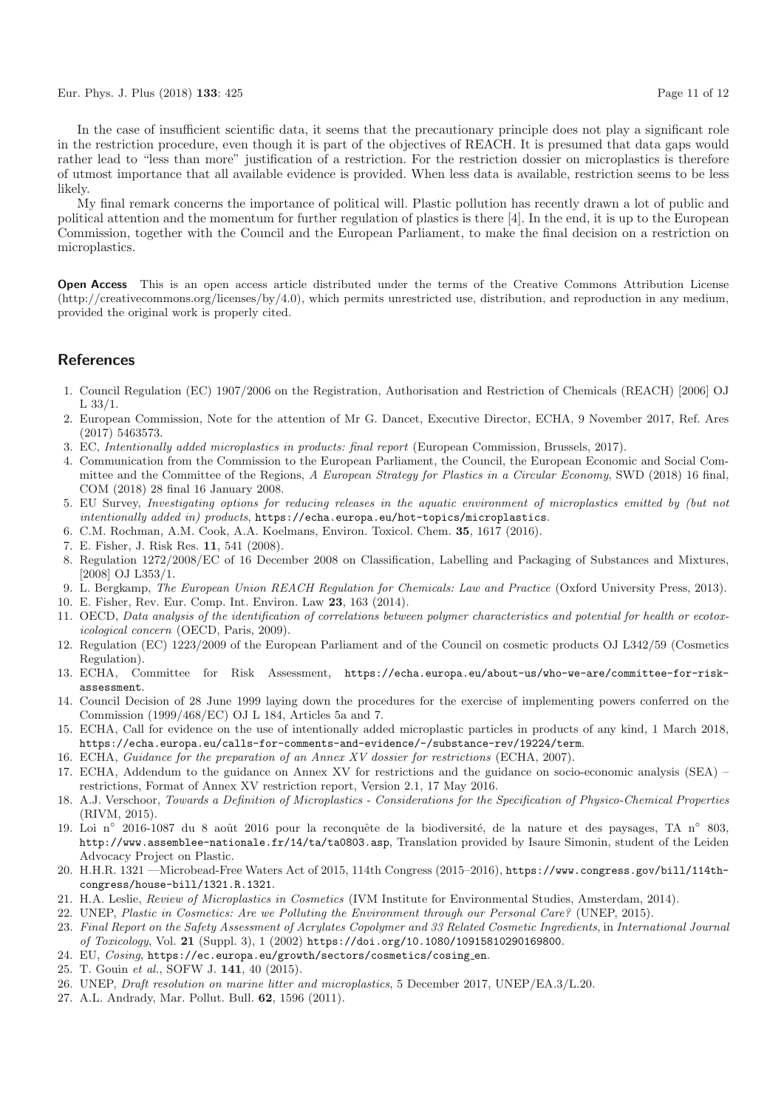In the case of insufficient scientific data, it seems that the precautionary principle does not play a significant role in the restriction procedure, even though it is part of the objectives of REACH. It is presumed that data gaps would rather lead to "less than more" justification of a restriction. For the restriction dossier on microplastics is therefore of utmost importance that all available evidence is provided. When less data is available, restriction seems to be less likely.

My final remark concerns the importance of political will. Plastic pollution has recently drawn a lot of public and political attention and the momentum for further regulation of plastics is there [4]. In the end, it is up to the European Commission, together with the Council and the European Parliament, to make the final decision on a restriction on microplastics.

**Open Access** This is an open access article distributed under the terms of the Creative Commons Attribution License (http://creativecommons.org/licenses/by/4.0), which permits unrestricted use, distribution, and reproduction in any medium, provided the original work is properly cited.

# **References**

- 1. Council Regulation (EC) 1907/2006 on the Registration, Authorisation and Restriction of Chemicals (REACH) [2006] OJ L 33/1.
- 2. European Commission, Note for the attention of Mr G. Dancet, Executive Director, ECHA, 9 November 2017, Ref. Ares (2017) 5463573.
- 3. EC, Intentionally added microplastics in products: final report (European Commission, Brussels, 2017).
- 4. Communication from the Commission to the European Parliament, the Council, the European Economic and Social Committee and the Committee of the Regions, A European Strategy for Plastics in a Circular Economy, SWD (2018) 16 final, COM (2018) 28 final 16 January 2008.
- 5. EU Survey, Investigating options for reducing releases in the aquatic environment of microplastics emitted by (but not intentionally added in) products, https://echa.europa.eu/hot-topics/microplastics.
- 6. C.M. Rochman, A.M. Cook, A.A. Koelmans, Environ. Toxicol. Chem. **35**, 1617 (2016).
- 7. E. Fisher, J. Risk Res. **11**, 541 (2008).
- 8. Regulation 1272/2008/EC of 16 December 2008 on Classification, Labelling and Packaging of Substances and Mixtures, [2008] OJ L353/1.
- 9. L. Bergkamp, The European Union REACH Regulation for Chemicals: Law and Practice (Oxford University Press, 2013).
- 10. E. Fisher, Rev. Eur. Comp. Int. Environ. Law **23**, 163 (2014).
- 11. OECD, Data analysis of the identification of correlations between polymer characteristics and potential for health or ecotoxicological concern (OECD, Paris, 2009).
- 12. Regulation (EC) 1223/2009 of the European Parliament and of the Council on cosmetic products OJ L342/59 (Cosmetics Regulation).
- 13. ECHA, Committee for Risk Assessment, https://echa.europa.eu/about-us/who-we-are/committee-for-riskassessment.
- 14. Council Decision of 28 June 1999 laying down the procedures for the exercise of implementing powers conferred on the Commission (1999/468/EC) OJ L 184, Articles 5a and 7.
- 15. ECHA, Call for evidence on the use of intentionally added microplastic particles in products of any kind, 1 March 2018, https://echa.europa.eu/calls-for-comments-and-evidence/-/substance-rev/19224/term.
- 16. ECHA, Guidance for the preparation of an Annex XV dossier for restrictions (ECHA, 2007).
- 17. ECHA, Addendum to the guidance on Annex XV for restrictions and the guidance on socio-economic analysis (SEA) restrictions, Format of Annex XV restriction report, Version 2.1, 17 May 2016.
- 18. A.J. Verschoor, Towards a Definition of Microplastics Considerations for the Specification of Physico-Chemical Properties (RIVM, 2015).
- 19. Loi n° 2016-1087 du 8 août 2016 pour la reconquête de la biodiversité, de la nature et des paysages, TA n° 803, http://www.assemblee-nationale.fr/14/ta/ta0803.asp, Translation provided by Isaure Simonin, student of the Leiden Advocacy Project on Plastic.
- 20. H.H.R. 1321 —Microbead-Free Waters Act of 2015, 114th Congress (2015–2016), https://www.congress.gov/bill/114thcongress/house-bill/1321.R.1321.
- 21. H.A. Leslie, Review of Microplastics in Cosmetics (IVM Institute for Environmental Studies, Amsterdam, 2014).
- 22. UNEP, Plastic in Cosmetics: Are we Polluting the Environment through our Personal Care? (UNEP, 2015).
- 23. Final Report on the Safety Assessment of Acrylates Copolymer and 33 Related Cosmetic Ingredients, in International Journal of Toxicology, Vol. **21** (Suppl. 3), 1 (2002) https://doi.org/10.1080/10915810290169800.
- 24. EU, Cosing, https://ec.europa.eu/growth/sectors/cosmetics/cosing en.
- 25. T. Gouin et al., SOFW J. **141**, 40 (2015).
- 26. UNEP, Draft resolution on marine litter and microplastics, 5 December 2017, UNEP/EA.3/L.20.
- 27. A.L. Andrady, Mar. Pollut. Bull. **62**, 1596 (2011).